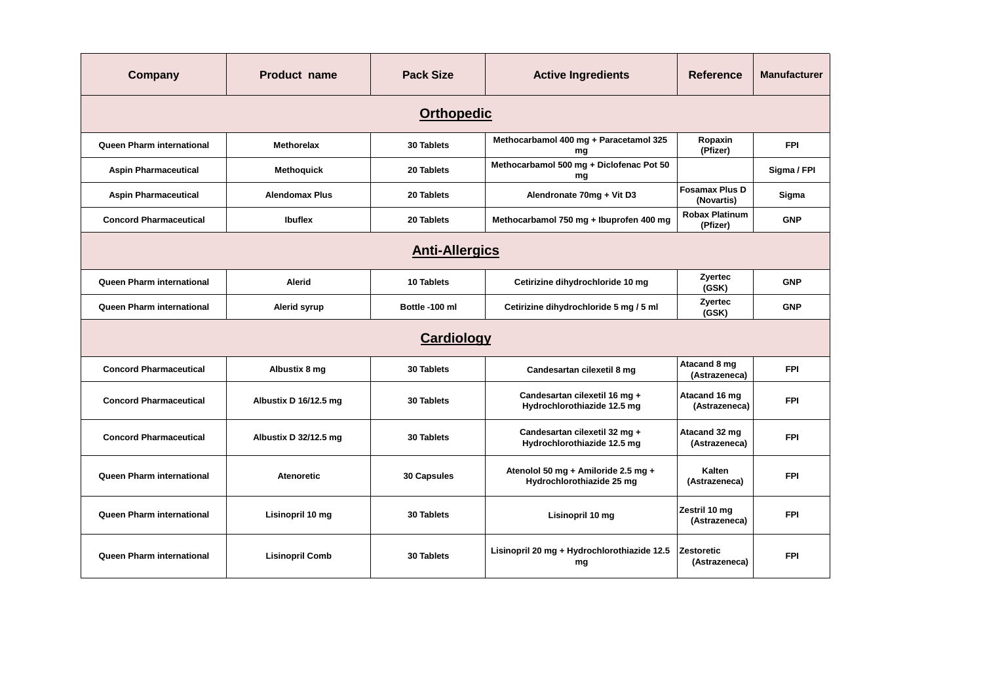| <b>Company</b>                   | Product name           | <b>Pack Size</b>  | <b>Active Ingredients</b>                                        | <b>Reference</b>                    | <b>Manufacturer</b> |  |  |
|----------------------------------|------------------------|-------------------|------------------------------------------------------------------|-------------------------------------|---------------------|--|--|
| <b>Orthopedic</b>                |                        |                   |                                                                  |                                     |                     |  |  |
| <b>Queen Pharm international</b> | <b>Methorelax</b>      | 30 Tablets        | Methocarbamol 400 mg + Paracetamol 325<br>mg                     | Ropaxin<br>(Pfizer)                 | <b>FPI</b>          |  |  |
| <b>Aspin Pharmaceutical</b>      | <b>Methoquick</b>      | 20 Tablets        | Methocarbamol 500 mg + Diclofenac Pot 50<br>mg                   |                                     | Sigma / FPI         |  |  |
| <b>Aspin Pharmaceutical</b>      | <b>Alendomax Plus</b>  | 20 Tablets        | Alendronate 70mg + Vit D3                                        | <b>Fosamax Plus D</b><br>(Novartis) | Sigma               |  |  |
| <b>Concord Pharmaceutical</b>    | <b>Ibuflex</b>         | 20 Tablets        | Methocarbamol 750 mg + Ibuprofen 400 mg                          | <b>Robax Platinum</b><br>(Pfizer)   | <b>GNP</b>          |  |  |
| <b>Anti-Allergics</b>            |                        |                   |                                                                  |                                     |                     |  |  |
| Queen Pharm international        | Alerid                 | 10 Tablets        | Cetirizine dihydrochloride 10 mg                                 | Zyertec<br>(GSK)                    | <b>GNP</b>          |  |  |
| Queen Pharm international        | Alerid syrup           | Bottle -100 ml    | Cetirizine dihydrochloride 5 mg / 5 ml                           | Zyertec<br>(GSK)                    | <b>GNP</b>          |  |  |
| <b>Cardiology</b>                |                        |                   |                                                                  |                                     |                     |  |  |
| <b>Concord Pharmaceutical</b>    | Albustix 8 mg          | <b>30 Tablets</b> | Candesartan cilexetil 8 mg                                       | Atacand 8 mg<br>(Astrazeneca)       | <b>FPI</b>          |  |  |
| <b>Concord Pharmaceutical</b>    | Albustix D 16/12.5 mg  | 30 Tablets        | Candesartan cilexetil 16 mg +<br>Hydrochlorothiazide 12.5 mg     | Atacand 16 mg<br>(Astrazeneca)      | <b>FPI</b>          |  |  |
| <b>Concord Pharmaceutical</b>    | Albustix D 32/12.5 mg  | 30 Tablets        | Candesartan cilexetil 32 mg +<br>Hydrochlorothiazide 12.5 mg     | Atacand 32 mg<br>(Astrazeneca)      | <b>FPI</b>          |  |  |
| Queen Pharm international        | <b>Atenoretic</b>      | 30 Capsules       | Atenolol 50 mg + Amiloride 2.5 mg +<br>Hydrochlorothiazide 25 mg | Kalten<br>(Astrazeneca)             | <b>FPI</b>          |  |  |
| Queen Pharm international        | Lisinopril 10 mg       | 30 Tablets        | Lisinopril 10 mg                                                 | Zestril 10 mg<br>(Astrazeneca)      | <b>FPI</b>          |  |  |
| Queen Pharm international        | <b>Lisinopril Comb</b> | 30 Tablets        | Lisinopril 20 mg + Hydrochlorothiazide 12.5<br>mg                | <b>Zestoretic</b><br>(Astrazeneca)  | <b>FPI</b>          |  |  |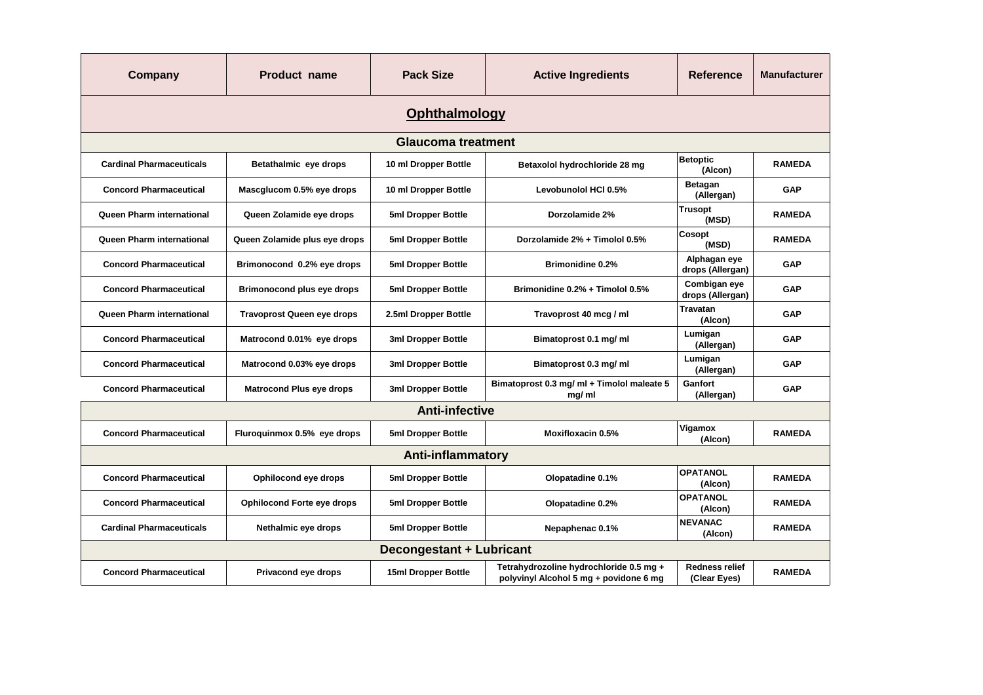| Company                         | <b>Product name</b>               | <b>Pack Size</b>          | <b>Active Ingredients</b>                                                         | Reference                             | <b>Manufacturer</b> |  |  |
|---------------------------------|-----------------------------------|---------------------------|-----------------------------------------------------------------------------------|---------------------------------------|---------------------|--|--|
| Ophthalmology                   |                                   |                           |                                                                                   |                                       |                     |  |  |
|                                 |                                   | <b>Glaucoma treatment</b> |                                                                                   |                                       |                     |  |  |
| <b>Cardinal Pharmaceuticals</b> | Betathalmic eye drops             | 10 ml Dropper Bottle      | Betaxolol hydrochloride 28 mg                                                     | <b>Betoptic</b><br>(Alcon)            | <b>RAMEDA</b>       |  |  |
| <b>Concord Pharmaceutical</b>   | Mascglucom 0.5% eye drops         | 10 ml Dropper Bottle      | Levobunolol HCI 0.5%                                                              | <b>Betagan</b><br>(Allergan)          | <b>GAP</b>          |  |  |
| Queen Pharm international       | Queen Zolamide eye drops          | 5ml Dropper Bottle        | Dorzolamide 2%                                                                    | <b>Trusopt</b><br>(MSD)               | <b>RAMEDA</b>       |  |  |
| Queen Pharm international       | Queen Zolamide plus eye drops     | 5ml Dropper Bottle        | Dorzolamide 2% + Timolol 0.5%                                                     | Cosopt<br>(MSD)                       | <b>RAMEDA</b>       |  |  |
| <b>Concord Pharmaceutical</b>   | Brimonocond 0.2% eye drops        | 5ml Dropper Bottle        | <b>Brimonidine 0.2%</b>                                                           | Alphagan eye<br>drops (Allergan)      | GAP                 |  |  |
| <b>Concord Pharmaceutical</b>   | Brimonocond plus eye drops        | 5ml Dropper Bottle        | Brimonidine 0.2% + Timolol 0.5%                                                   | Combigan eye<br>drops (Allergan)      | <b>GAP</b>          |  |  |
| Queen Pharm international       | <b>Travoprost Queen eye drops</b> | 2.5ml Dropper Bottle      | Travoprost 40 mcg / ml                                                            | <b>Travatan</b><br>(Alcon)            | <b>GAP</b>          |  |  |
| <b>Concord Pharmaceutical</b>   | Matrocond 0.01% eye drops         | 3ml Dropper Bottle        | Bimatoprost 0.1 mg/ ml                                                            | Lumigan<br>(Allergan)                 | GAP                 |  |  |
| <b>Concord Pharmaceutical</b>   | Matrocond 0.03% eye drops         | 3ml Dropper Bottle        | Bimatoprost 0.3 mg/ ml                                                            | Lumigan<br>(Allergan)                 | GAP                 |  |  |
| <b>Concord Pharmaceutical</b>   | <b>Matrocond Plus eye drops</b>   | 3ml Dropper Bottle        | Bimatoprost 0.3 mg/ ml + Timolol maleate 5<br>mg/ml                               | Ganfort<br>(Allergan)                 | GAP                 |  |  |
| <b>Anti-infective</b>           |                                   |                           |                                                                                   |                                       |                     |  |  |
| <b>Concord Pharmaceutical</b>   | Fluroquinmox 0.5% eye drops       | 5ml Dropper Bottle        | <b>Moxifloxacin 0.5%</b>                                                          | Vigamox<br>(Alcon)                    | <b>RAMEDA</b>       |  |  |
| <b>Anti-inflammatory</b>        |                                   |                           |                                                                                   |                                       |                     |  |  |
| <b>Concord Pharmaceutical</b>   | Ophilocond eye drops              | 5ml Dropper Bottle        | Olopatadine 0.1%                                                                  | <b>OPATANOL</b><br>(Alcon)            | <b>RAMEDA</b>       |  |  |
| <b>Concord Pharmaceutical</b>   | <b>Ophilocond Forte eye drops</b> | 5ml Dropper Bottle        | Olopatadine 0.2%                                                                  | <b>OPATANOL</b><br>(Alcon)            | <b>RAMEDA</b>       |  |  |
| <b>Cardinal Pharmaceuticals</b> | Nethalmic eye drops               | 5ml Dropper Bottle        | Nepaphenac 0.1%                                                                   | <b>NEVANAC</b><br>(Alcon)             | <b>RAMEDA</b>       |  |  |
| <b>Decongestant + Lubricant</b> |                                   |                           |                                                                                   |                                       |                     |  |  |
| <b>Concord Pharmaceutical</b>   | Privacond eye drops               | 15ml Dropper Bottle       | Tetrahydrozoline hydrochloride 0.5 mg +<br>polyvinyl Alcohol 5 mg + povidone 6 mg | <b>Redness relief</b><br>(Clear Eyes) | <b>RAMEDA</b>       |  |  |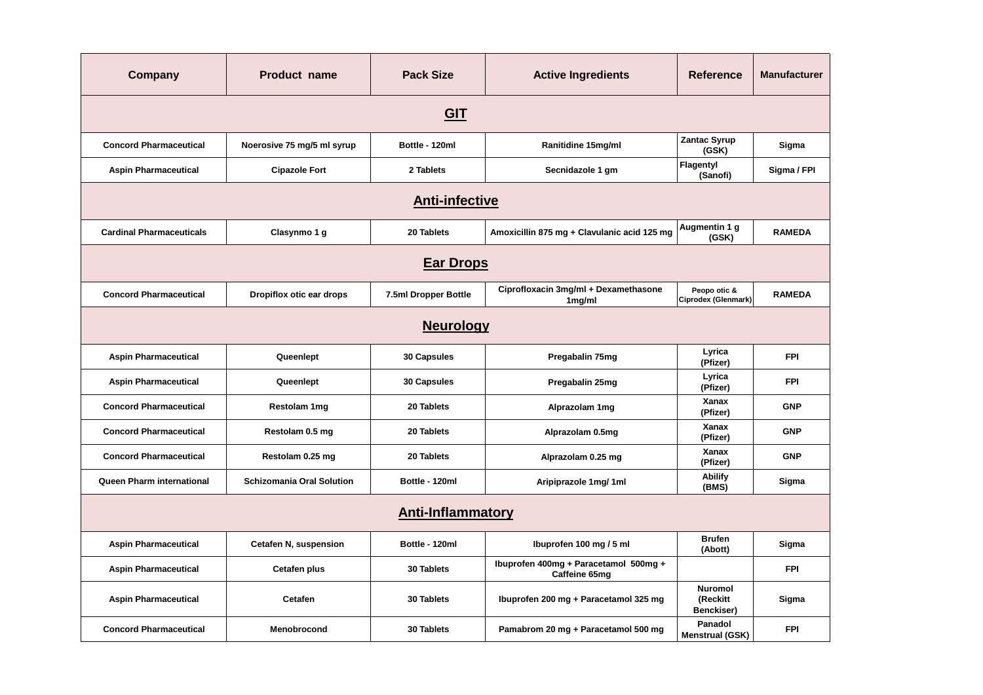| <b>Company</b>                  | <b>Product name</b>              | <b>Pack Size</b>     | <b>Active Ingredients</b>                              | <b>Reference</b>                         | <b>Manufacturer</b> |  |
|---------------------------------|----------------------------------|----------------------|--------------------------------------------------------|------------------------------------------|---------------------|--|
| <b>GIT</b>                      |                                  |                      |                                                        |                                          |                     |  |
| <b>Concord Pharmaceutical</b>   | Noerosive 75 mg/5 ml syrup       | Bottle - 120ml       | Ranitidine 15mg/ml                                     | <b>Zantac Syrup</b><br>(GSK)             | Sigma               |  |
| <b>Aspin Pharmaceutical</b>     | <b>Cipazole Fort</b>             | 2 Tablets            | Secnidazole 1 gm                                       | Flagentyl<br>(Sanofi)                    | Sigma / FPI         |  |
| <b>Anti-infective</b>           |                                  |                      |                                                        |                                          |                     |  |
| <b>Cardinal Pharmaceuticals</b> | Clasynmo 1 g                     | 20 Tablets           | Amoxicillin 875 mg + Clavulanic acid 125 mg            | Augmentin 1 g<br>(GSK)                   | <b>RAMEDA</b>       |  |
| <b>Ear Drops</b>                |                                  |                      |                                                        |                                          |                     |  |
| <b>Concord Pharmaceutical</b>   | Dropiflox otic ear drops         | 7.5ml Dropper Bottle | Ciprofloxacin 3mg/ml + Dexamethasone<br>$1$ mg/ml      | Peopo otic &<br>Ciprodex (Glenmark)      | <b>RAMEDA</b>       |  |
| <b>Neurology</b>                |                                  |                      |                                                        |                                          |                     |  |
| <b>Aspin Pharmaceutical</b>     | Queenlept                        | 30 Capsules          | Pregabalin 75mg                                        | Lyrica<br>(Pfizer)                       | <b>FPI</b>          |  |
| <b>Aspin Pharmaceutical</b>     | Queenlept                        | 30 Capsules          | Pregabalin 25mg                                        | Lyrica<br>(Pfizer)                       | <b>FPI</b>          |  |
| <b>Concord Pharmaceutical</b>   | Restolam 1mg                     | 20 Tablets           | Alprazolam 1mg                                         | Xanax<br>(Pfizer)                        | <b>GNP</b>          |  |
| <b>Concord Pharmaceutical</b>   | Restolam 0.5 mg                  | 20 Tablets           | Alprazolam 0.5mg                                       | Xanax<br>(Pfizer)                        | <b>GNP</b>          |  |
| <b>Concord Pharmaceutical</b>   | Restolam 0.25 mg                 | 20 Tablets           | Alprazolam 0.25 mg                                     | Xanax<br>(Pfizer)                        | <b>GNP</b>          |  |
| Queen Pharm international       | <b>Schizomania Oral Solution</b> | Bottle - 120ml       | Aripiprazole 1mg/1ml                                   | <b>Abilify</b><br>(BMS)                  | Sigma               |  |
| <b>Anti-Inflammatory</b>        |                                  |                      |                                                        |                                          |                     |  |
| <b>Aspin Pharmaceutical</b>     | Cetafen N, suspension            | Bottle - 120ml       | Ibuprofen 100 mg / 5 ml                                | <b>Brufen</b><br>(Abott)                 | Sigma               |  |
| <b>Aspin Pharmaceutical</b>     | <b>Cetafen plus</b>              | 30 Tablets           | Ibuprofen 400mg + Paracetamol 500mg +<br>Caffeine 65mg |                                          | <b>FPI</b>          |  |
| <b>Aspin Pharmaceutical</b>     | Cetafen                          | <b>30 Tablets</b>    | Ibuprofen 200 mg + Paracetamol 325 mg                  | <b>Nuromol</b><br>(Reckitt<br>Benckiser) | Sigma               |  |
| <b>Concord Pharmaceutical</b>   | Menobrocond                      | 30 Tablets           | Pamabrom 20 mg + Paracetamol 500 mg                    | Panadol<br><b>Menstrual (GSK)</b>        | <b>FPI</b>          |  |